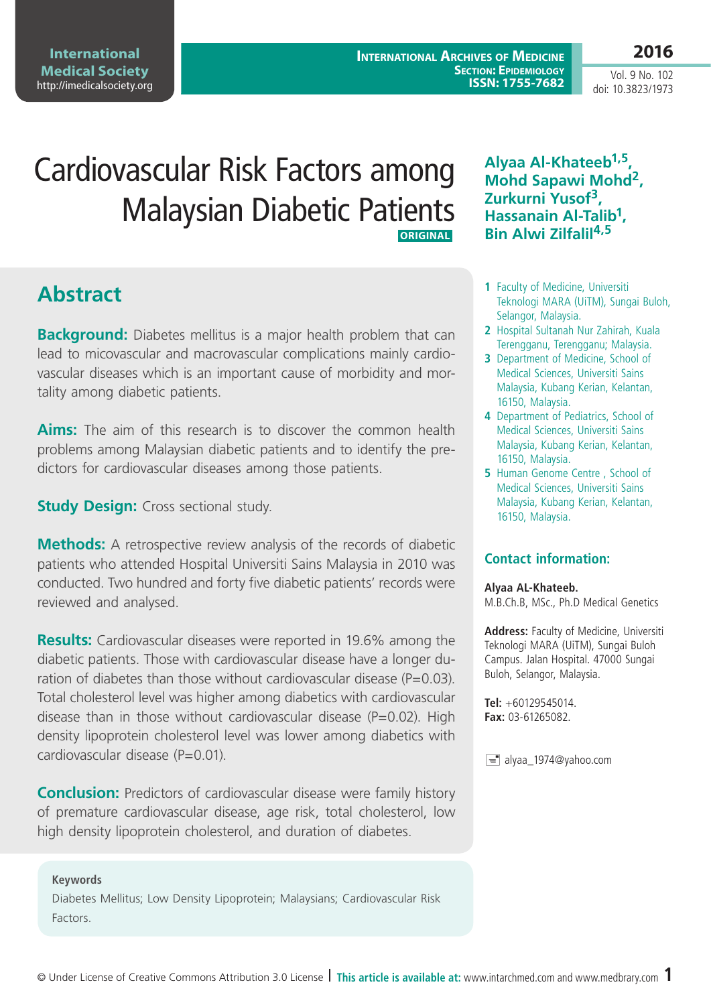**International Archives of Medicine Section: Epidemiology ISSN: 1755-7682**

Vol. 9 No. 102 doi: 10.3823/1973

# Cardiovascular Risk Factors among Malaysian Diabetic Patients  **Original**

## **Abstract**

**Background:** Diabetes mellitus is a major health problem that can lead to micovascular and macrovascular complications mainly cardiovascular diseases which is an important cause of morbidity and mortality among diabetic patients.

**Aims:** The aim of this research is to discover the common health problems among Malaysian diabetic patients and to identify the predictors for cardiovascular diseases among those patients.

**Study Design:** Cross sectional study.

**Methods:** A retrospective review analysis of the records of diabetic patients who attended Hospital Universiti Sains Malaysia in 2010 was conducted. Two hundred and forty five diabetic patients' records were reviewed and analysed.

**Results:** Cardiovascular diseases were reported in 19.6% among the diabetic patients. Those with cardiovascular disease have a longer duration of diabetes than those without cardiovascular disease ( $P=0.03$ ). Total cholesterol level was higher among diabetics with cardiovascular disease than in those without cardiovascular disease ( $P=0.02$ ). High density lipoprotein cholesterol level was lower among diabetics with cardiovascular disease (P=0.01).

**Conclusion:** Predictors of cardiovascular disease were family history of premature cardiovascular disease, age risk, total cholesterol, low high density lipoprotein cholesterol, and duration of diabetes.

### **Keywords**

Diabetes Mellitus; Low Density Lipoprotein; Malaysians; Cardiovascular Risk Factors.

**Alyaa Al-Khateeb1,5, Mohd Sapawi Mohd2, Zurkurni Yusof3, Hassanain Al-Talib1, Bin Alwi Zilfalil4,5**

- **1** Faculty of Medicine, Universiti Teknologi MARA (UiTM), Sungai Buloh, Selangor, Malaysia.
- **2** Hospital Sultanah Nur Zahirah, Kuala Terengganu, Terengganu; Malaysia.
- **3** Department of Medicine, School of Medical Sciences, Universiti Sains Malaysia, Kubang Kerian, Kelantan, 16150, Malaysia.
- **4** Department of Pediatrics, School of Medical Sciences, Universiti Sains Malaysia, Kubang Kerian, Kelantan, 16150, Malaysia.
- **5** Human Genome Centre, School of Medical Sciences, Universiti Sains Malaysia, Kubang Kerian, Kelantan, 16150, Malaysia.

### **Contact information:**

#### **Alyaa AL-Khateeb.**

M.B.Ch.B, MSc., Ph.D Medical Genetics

**Address:** Faculty of Medicine, Universiti Teknologi MARA (UiTM), Sungai Buloh Campus. Jalan Hospital. 47000 Sungai Buloh, Selangor, Malaysia.

**Tel:** +60129545014. **Fax:** 03-61265082.

 $\equiv$  alyaa\_1974@yahoo.com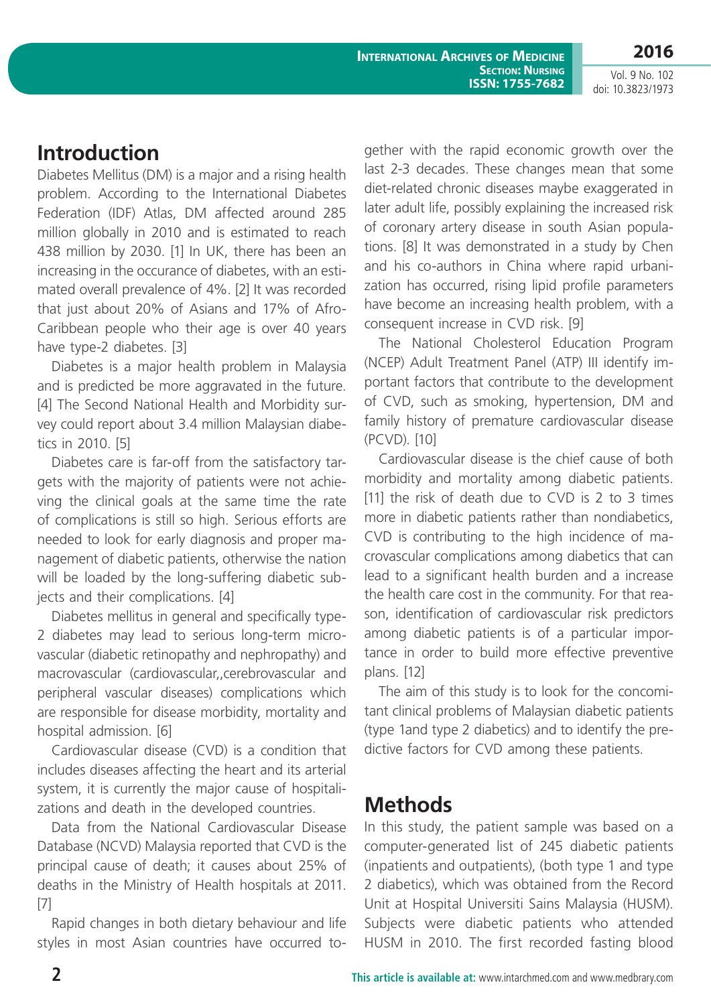**International Archives of Medicine SECTION: NURSING ISSN: 1755-7682** **2016**

Vol. 9 No. 102 doi: 10.3823/1973

## **Introduction**

Diabetes Mellitus (DM) is a major and a rising health problem. According to the International Diabetes Federation (IDF) Atlas, DM affected around 285 million globally in 2010 and is estimated to reach 438 million by 2030. [1] In UK, there has been an increasing in the occurance of diabetes, with an estimated overall prevalence of 4%. [2] It was recorded that just about 20% of Asians and 17% of Afro-Caribbean people who their age is over 40 years have type-2 diabetes. [3]

Diabetes is a major health problem in Malaysia and is predicted be more aggravated in the future. [4] The Second National Health and Morbidity survey could report about 3.4 million Malaysian diabetics in 2010. [5]

Diabetes care is far-off from the satisfactory targets with the majority of patients were not achieving the clinical goals at the same time the rate of complications is still so high. Serious efforts are needed to look for early diagnosis and proper management of diabetic patients, otherwise the nation will be loaded by the long-suffering diabetic subjects and their complications. [4]

Diabetes mellitus in general and specifically type-2 diabetes may lead to serious long-term microvascular (diabetic retinopathy and nephropathy) and macrovascular (cardiovascular,,cerebrovascular and peripheral vascular diseases) complications which are responsible for disease morbidity, mortality and hospital admission. [6]

Cardiovascular disease (CVD) is a condition that includes diseases affecting the heart and its arterial system, it is currently the major cause of hospitalizations and death in the developed countries.

Data from the National Cardiovascular Disease Database (NCVD) Malaysia reported that CVD is the principal cause of death; it causes about 25% of deaths in the Ministry of Health hospitals at 2011. [7]

Rapid changes in both dietary behaviour and life styles in most Asian countries have occurred together with the rapid economic growth over the last 2-3 decades. These changes mean that some diet-related chronic diseases maybe exaggerated in later adult life, possibly explaining the increased risk of coronary artery disease in south Asian populations. [8] It was demonstrated in a study by Chen and his co-authors in China where rapid urbanization has occurred, rising lipid profile parameters have become an increasing health problem, with a consequent increase in CVD risk. [9]

The National Cholesterol Education Program (NCEP) Adult Treatment Panel (ATP) III identify important factors that contribute to the development of CVD, such as smoking, hypertension, DM and family history of premature cardiovascular disease (PCVD). [10]

Cardiovascular disease is the chief cause of both morbidity and mortality among diabetic patients. [11] the risk of death due to CVD is 2 to 3 times more in diabetic patients rather than nondiabetics, CVD is contributing to the high incidence of macrovascular complications among diabetics that can lead to a significant health burden and a increase the health care cost in the community. For that reason, identification of cardiovascular risk predictors among diabetic patients is of a particular importance in order to build more effective preventive plans. [12]

The aim of this study is to look for the concomitant clinical problems of Malaysian diabetic patients (type 1and type 2 diabetics) and to identify the predictive factors for CVD among these patients.

## **Methods**

In this study, the patient sample was based on a computer-generated list of 245 diabetic patients (inpatients and outpatients), (both type 1 and type 2 diabetics), which was obtained from the Record Unit at Hospital Universiti Sains Malaysia (HUSM). Subjects were diabetic patients who attended HUSM in 2010. The first recorded fasting blood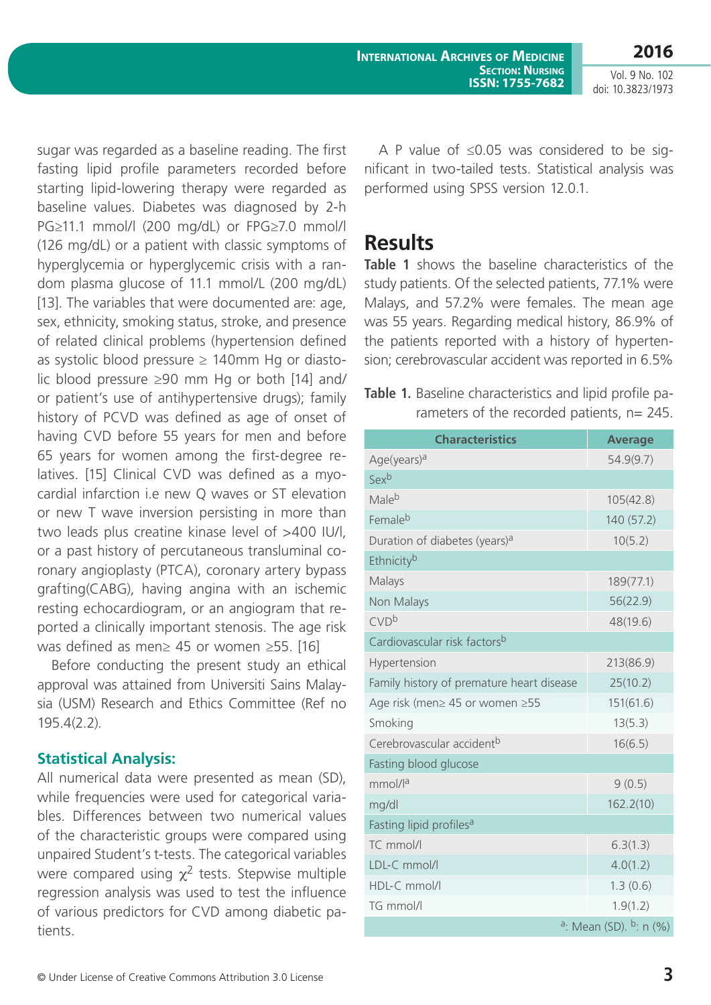latives. [15] Clinical CVD was defined as a myocardial infarction i.e new Q waves or ST elevation or new T wave inversion persisting in more than two leads plus creatine kinase level of >400 IU/l, or a past history of percutaneous transluminal coronary angioplasty (PTCA), coronary artery bypass grafting(CABG), having angina with an ischemic resting echocardiogram, or an angiogram that reported a clinically important stenosis. The age risk

sugar was regarded as a baseline reading. The first fasting lipid profile parameters recorded before starting lipid-lowering therapy were regarded as baseline values. Diabetes was diagnosed by 2-h PG≥11.1 mmol/l (200 mg/dL) or FPG≥7.0 mmol/l (126 mg/dL) or a patient with classic symptoms of hyperglycemia or hyperglycemic crisis with a random plasma glucose of 11.1 mmol/L (200 mg/dL) [13]. The variables that were documented are: age, sex, ethnicity, smoking status, stroke, and presence of related clinical problems (hypertension defined as systolic blood pressure  $\geq 140$ mm Hg or diastolic blood pressure ≥90 mm Hg or both [14] and/ or patient's use of antihypertensive drugs); family history of PCVD was defined as age of onset of having CVD before 55 years for men and before 65 years for women among the first-degree re-

was defined as men≥ 45 or women ≥55. [16] Before conducting the present study an ethical approval was attained from Universiti Sains Malaysia (USM) Research and Ethics Committee (Ref no 195.4(2.2).

### **Statistical Analysis:**

All numerical data were presented as mean (SD), while frequencies were used for categorical variables. Differences between two numerical values of the characteristic groups were compared using unpaired Student's t-tests. The categorical variables were compared using  $\chi^2$  tests. Stepwise multiple regression analysis was used to test the influence of various predictors for CVD among diabetic patients.

A P value of ≤0.05 was considered to be significant in two-tailed tests. Statistical analysis was performed using SPSS version 12.0.1.

### **Results**

**Table 1** shows the baseline characteristics of the study patients. Of the selected patients, 77.1% were Malays, and 57.2% were females. The mean age was 55 years. Regarding medical history, 86.9% of the patients reported with a history of hypertension; cerebrovascular accident was reported in 6.5%

**Table 1.** Baseline characteristics and lipid profile parameters of the recorded patients, n= 245.

| <b>Characteristics</b>                         | <b>Average</b> |  |  |  |
|------------------------------------------------|----------------|--|--|--|
| Age(years) <sup>a</sup>                        | 54.9(9.7)      |  |  |  |
| Sexb                                           |                |  |  |  |
| Male <sup>b</sup>                              | 105(42.8)      |  |  |  |
| Femaleb                                        | 140 (57.2)     |  |  |  |
| Duration of diabetes (years) <sup>a</sup>      | 10(5.2)        |  |  |  |
| Ethnicity <sup>b</sup>                         |                |  |  |  |
| Malays                                         | 189(77.1)      |  |  |  |
| 56(22.9)<br>Non Malays                         |                |  |  |  |
| <b>CVD</b> b                                   | 48(19.6)       |  |  |  |
| Cardiovascular risk factors <sup>b</sup>       |                |  |  |  |
| Hypertension                                   | 213(86.9)      |  |  |  |
| Family history of premature heart disease      | 25(10.2)       |  |  |  |
| Age risk (men≥ 45 or women ≥55                 | 151(61.6)      |  |  |  |
| Smoking                                        | 13(5.3)        |  |  |  |
| Cerebrovascular accident <sup>b</sup>          | 16(6.5)        |  |  |  |
| Fasting blood glucose                          |                |  |  |  |
| mmol/l <sup>a</sup>                            | 9(0.5)         |  |  |  |
| mg/dl                                          | 162.2(10)      |  |  |  |
| Fasting lipid profiles <sup>a</sup>            |                |  |  |  |
| TC mmol/l                                      | 6.3(1.3)       |  |  |  |
| LDL-C mmol/l                                   | 4.0(1.2)       |  |  |  |
| HDL-C mmol/l                                   | 1.3(0.6)       |  |  |  |
| TG mmol/l                                      | 1.9(1.2)       |  |  |  |
| <sup>a</sup> : Mean (SD). <sup>b</sup> : n (%) |                |  |  |  |

Vol. 9 No. 102 doi: 10.3823/1973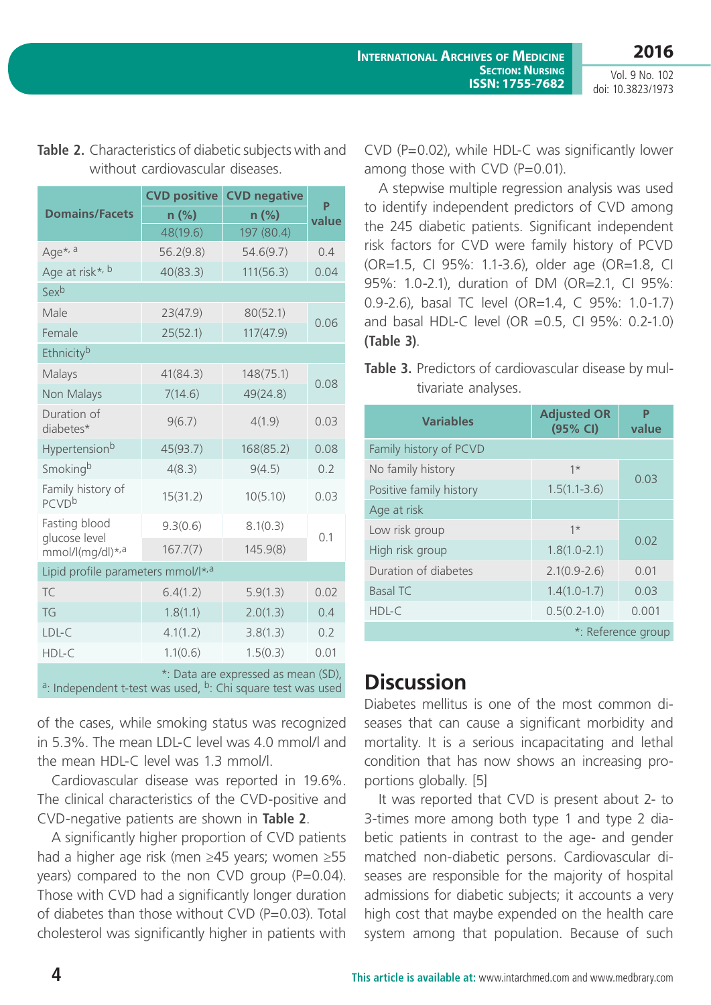**2016** Vol. 9 No. 102

doi: 10.3823/1973

|                                                                                                                            | <b>CVD positive</b> | <b>CVD negative</b> | P<br>value |  |
|----------------------------------------------------------------------------------------------------------------------------|---------------------|---------------------|------------|--|
| <b>Domains/Facets</b>                                                                                                      | $n$ (%)             | $n$ (%)             |            |  |
|                                                                                                                            | 48(19.6)            | 197 (80.4)          |            |  |
| Age*, a                                                                                                                    | 56.2(9.8)           | 54.6(9.7)           | 0.4        |  |
| Age at risk <sup>*, b</sup>                                                                                                | 40(83.3)            | 111(56.3)           | 0.04       |  |
| Sexb                                                                                                                       |                     |                     |            |  |
| Male                                                                                                                       | 23(47.9)            | 80(52.1)            | 0.06       |  |
| Female                                                                                                                     | 25(52.1)            | 117(47.9)           |            |  |
| Ethnicityb                                                                                                                 |                     |                     |            |  |
| Malays                                                                                                                     | 41(84.3)            | 148(75.1)           |            |  |
| Non Malays                                                                                                                 | 7(14.6)             | 49(24.8)            | 0.08       |  |
| Duration of<br>diabetes*                                                                                                   | 9(6.7)              | 4(1.9)              | 0.03       |  |
| Hypertension <sup>b</sup>                                                                                                  | 45(93.7)            | 168(85.2)           | 0.08       |  |
| Smoking <sup>b</sup>                                                                                                       | 4(8.3)              | 9(4.5)              | 0.2        |  |
| Family history of<br><b>PCVD</b> b                                                                                         | 15(31.2)            | 10(5.10)            | 0.03       |  |
| Fasting blood                                                                                                              | 9.3(0.6)            | 8.1(0.3)            |            |  |
| glucose level<br>mmol/l(mg/dl)*,a                                                                                          | 167.7(7)            | 145.9(8)            | 0.1        |  |
| Lipid profile parameters mmol/I*,a                                                                                         |                     |                     |            |  |
| TC                                                                                                                         | 6.4(1.2)            | 5.9(1.3)            | 0.02       |  |
| TG                                                                                                                         | 1.8(1.1)            | 2.0(1.3)            | 0.4        |  |
| LDL-C                                                                                                                      | 4.1(1.2)            | 3.8(1.3)            | 0.2        |  |
| HDL-C                                                                                                                      | 1.1(0.6)            | 1.5(0.3)            | 0.01       |  |
| *: Data are expressed as mean (SD),<br><sup>a</sup> : Independent t-test was used, <sup>b</sup> : Chi square test was used |                     |                     |            |  |

### **Table 2.** Characteristics of diabetic subjects with and without cardiovascular diseases.

of the cases, while smoking status was recognized in 5.3%. The mean LDL-C level was 4.0 mmol/l and the mean HDL-C level was 1.3 mmol/l.

Cardiovascular disease was reported in 19.6%. The clinical characteristics of the CVD-positive and CVD-negative patients are shown in **Table 2**.

A significantly higher proportion of CVD patients had a higher age risk (men ≥45 years; women ≥55 years) compared to the non CVD group  $(P=0.04)$ . Those with CVD had a significantly longer duration of diabetes than those without CVD (P=0.03). Total cholesterol was significantly higher in patients with CVD (P=0.02), while HDL-C was significantly lower among those with  $CVD$  ( $P=0.01$ ).

A stepwise multiple regression analysis was used to identify independent predictors of CVD among the 245 diabetic patients. Significant independent risk factors for CVD were family history of PCVD (OR=1.5, CI 95%: 1.1-3.6), older age (OR=1.8, CI 95%: 1.0-2.1), duration of DM (OR=2.1, CI 95%: 0.9-2.6), basal TC level (OR=1.4, C 95%: 1.0-1.7) and basal HDL-C level (OR =0.5, CI 95%: 0.2-1.0) **(Table 3)**.

**Table 3.** Predictors of cardiovascular disease by multivariate analyses.

| <b>Variables</b>        | <b>Adjusted OR</b><br>(95% CI) | P<br>value |  |
|-------------------------|--------------------------------|------------|--|
| Family history of PCVD  |                                |            |  |
| No family history       | $1*$                           | 0.03       |  |
| Positive family history | $1.5(1.1 - 3.6)$               |            |  |
| Age at risk             |                                |            |  |
| Low risk group          | $1*$                           | 0.02       |  |
| High risk group         | $1.8(1.0 - 2.1)$               |            |  |
| Duration of diabetes    | $2.1(0.9 - 2.6)$               | 0.01       |  |
| <b>Basal TC</b>         | $1.4(1.0-1.7)$                 | 0.03       |  |
| HDL-C                   | $0.5(0.2-1.0)$                 | 0.001      |  |
| *: Reference group      |                                |            |  |

## **Discussion**

Diabetes mellitus is one of the most common diseases that can cause a significant morbidity and mortality. It is a serious incapacitating and lethal condition that has now shows an increasing proportions globally. [5]

It was reported that CVD is present about 2- to 3-times more among both type 1 and type 2 diabetic patients in contrast to the age- and gender matched non-diabetic persons. Cardiovascular diseases are responsible for the majority of hospital admissions for diabetic subjects; it accounts a very high cost that maybe expended on the health care system among that population. Because of such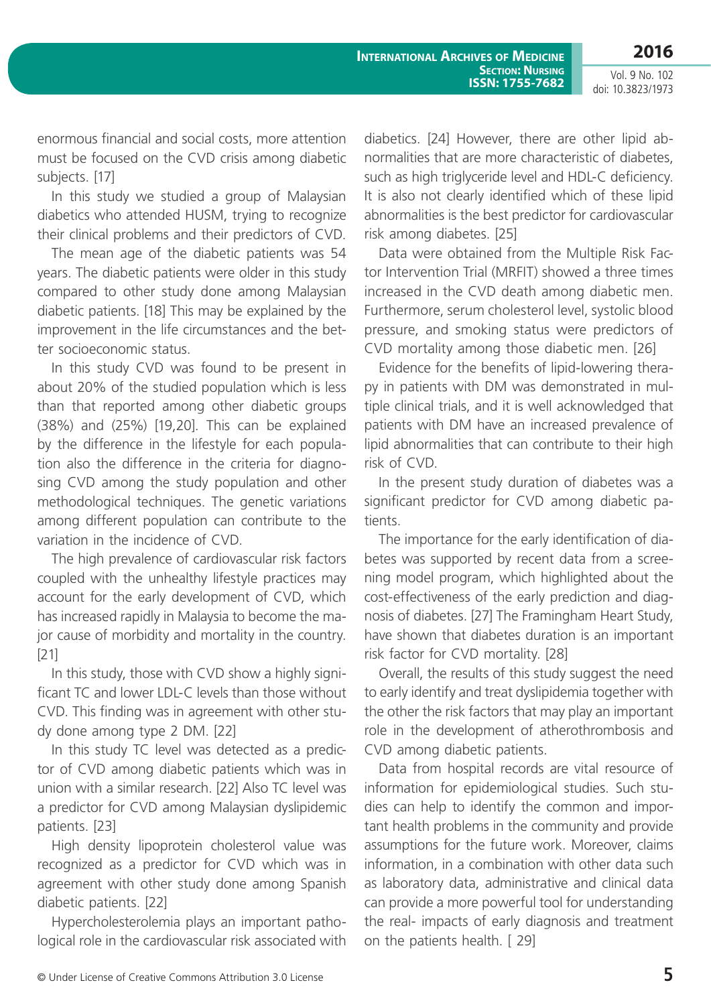Vol. 9 No. 102 doi: 10.3823/1973

enormous financial and social costs, more attention must be focused on the CVD crisis among diabetic subjects. [17]

In this study we studied a group of Malaysian diabetics who attended HUSM, trying to recognize their clinical problems and their predictors of CVD.

The mean age of the diabetic patients was 54 years. The diabetic patients were older in this study compared to other study done among Malaysian diabetic patients. [18] This may be explained by the improvement in the life circumstances and the better socioeconomic status.

In this study CVD was found to be present in about 20% of the studied population which is less than that reported among other diabetic groups (38%) and (25%) [19,20]. This can be explained by the difference in the lifestyle for each population also the difference in the criteria for diagnosing CVD among the study population and other methodological techniques. The genetic variations among different population can contribute to the variation in the incidence of CVD.

The high prevalence of cardiovascular risk factors coupled with the unhealthy lifestyle practices may account for the early development of CVD, which has increased rapidly in Malaysia to become the major cause of morbidity and mortality in the country. [21]

In this study, those with CVD show a highly significant TC and lower LDL-C levels than those without CVD. This finding was in agreement with other study done among type 2 DM. [22]

In this study TC level was detected as a predictor of CVD among diabetic patients which was in union with a similar research. [22] Also TC level was a predictor for CVD among Malaysian dyslipidemic patients. [23]

High density lipoprotein cholesterol value was recognized as a predictor for CVD which was in agreement with other study done among Spanish diabetic patients. [22]

Hypercholesterolemia plays an important pathological role in the cardiovascular risk associated with diabetics. [24] However, there are other lipid abnormalities that are more characteristic of diabetes, such as high triglyceride level and HDL-C deficiency. It is also not clearly identified which of these lipid abnormalities is the best predictor for cardiovascular risk among diabetes. [25]

Data were obtained from the Multiple Risk Factor Intervention Trial (MRFIT) showed a three times increased in the CVD death among diabetic men. Furthermore, serum cholesterol level, systolic blood pressure, and smoking status were predictors of CVD mortality among those diabetic men. [26]

Evidence for the benefits of lipid-lowering therapy in patients with DM was demonstrated in multiple clinical trials, and it is well acknowledged that patients with DM have an increased prevalence of lipid abnormalities that can contribute to their high risk of CVD.

In the present study duration of diabetes was a significant predictor for CVD among diabetic patients.

The importance for the early identification of diabetes was supported by recent data from a screening model program, which highlighted about the cost-effectiveness of the early prediction and diagnosis of diabetes. [27] The Framingham Heart Study, have shown that diabetes duration is an important risk factor for CVD mortality. [28]

Overall, the results of this study suggest the need to early identify and treat dyslipidemia together with the other the risk factors that may play an important role in the development of atherothrombosis and CVD among diabetic patients.

Data from hospital records are vital resource of information for epidemiological studies. Such studies can help to identify the common and important health problems in the community and provide assumptions for the future work. Moreover, claims information, in a combination with other data such as laboratory data, administrative and clinical data can provide a more powerful tool for understanding the real- impacts of early diagnosis and treatment on the patients health. [ 29]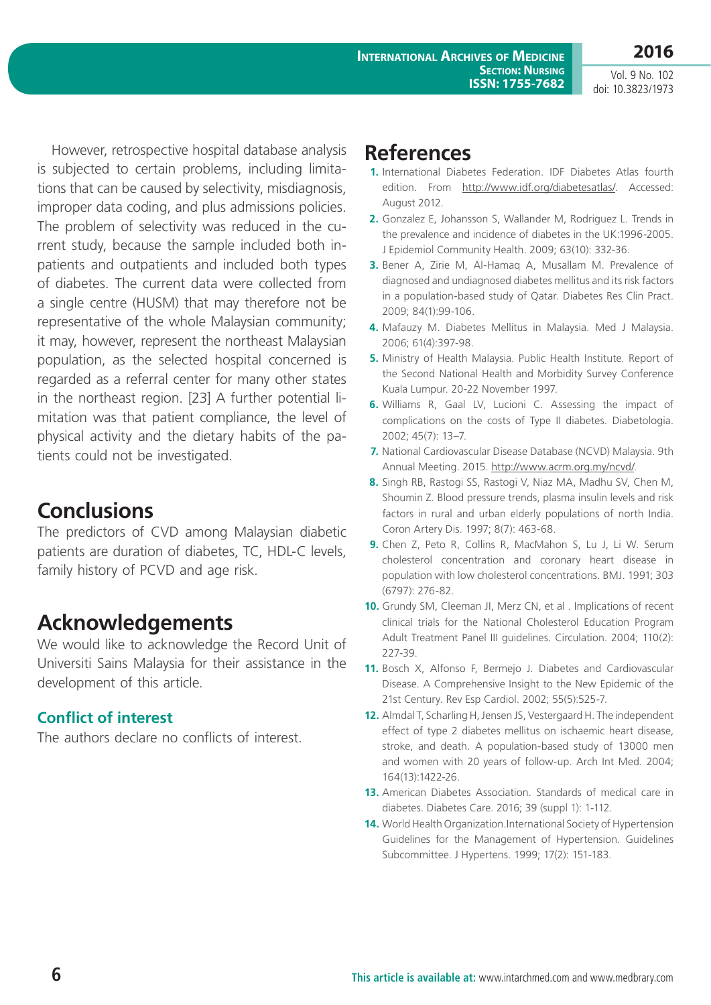Vol. 9 No. 102 doi: 10.3823/1973

**2016**

However, retrospective hospital database analysis is subjected to certain problems, including limitations that can be caused by selectivity, misdiagnosis, improper data coding, and plus admissions policies. The problem of selectivity was reduced in the current study, because the sample included both inpatients and outpatients and included both types of diabetes. The current data were collected from a single centre (HUSM) that may therefore not be representative of the whole Malaysian community; it may, however, represent the northeast Malaysian population, as the selected hospital concerned is regarded as a referral center for many other states in the northeast region. [23] A further potential limitation was that patient compliance, the level of physical activity and the dietary habits of the patients could not be investigated.

## **Conclusions**

The predictors of CVD among Malaysian diabetic patients are duration of diabetes, TC, HDL-C levels, family history of PCVD and age risk.

## **Acknowledgements**

We would like to acknowledge the Record Unit of Universiti Sains Malaysia for their assistance in the development of this article.

### **Conflict of interest**

The authors declare no conflicts of interest.

## **References**

- **1.** International Diabetes Federation. IDF Diabetes Atlas fourth edition. From [http://www.idf.org/diabetesatlas/.](http://www.idf.org/diabetesatlas/) Accessed: August 2012.
- **2.** Gonzalez E, Johansson S, Wallander M, Rodriguez L. Trends in the prevalence and incidence of diabetes in the UK:1996-2005. J Epidemiol Community Health. 2009; 63(10): 332-36.
- **3.** Bener A, Zirie M, Al-Hamaq A, Musallam M. Prevalence of diagnosed and undiagnosed diabetes mellitus and its risk factors in a population-based study of Qatar. Diabetes Res Clin Pract. 2009; 84(1):99-106.
- **4.** Mafauzy M. Diabetes Mellitus in Malaysia. Med J Malaysia. 2006; 61(4):397-98.
- **5.** Ministry of Health Malaysia. Public Health Institute. Report of the Second National Health and Morbidity Survey Conference Kuala Lumpur. 20-22 November 1997.
- **6.** Williams R, Gaal LV, Lucioni C. Assessing the impact of complications on the costs of Type II diabetes. Diabetologia. 2002; 45(7): 13–7.
- **7.** National Cardiovascular Disease Database (NCVD) Malaysia. 9th Annual Meeting. 2015. [http://www.acrm.org.my/ncvd/.](http://www.acrm.org.my/ncvd/)
- **8.** Singh RB, Rastogi SS, Rastogi V, Niaz MA, Madhu SV, Chen M, Shoumin Z. Blood pressure trends, plasma insulin levels and risk factors in rural and urban elderly populations of north India. Coron Artery Dis. 1997; 8(7): 463-68.
- **9.** Chen Z, Peto R, Collins R, MacMahon S, Lu J, Li W. Serum cholesterol concentration and coronary heart disease in population with low cholesterol concentrations. BMJ. 1991; 303 (6797): 276-82.
- **10.** Grundy SM, Cleeman JI, Merz CN, et al . Implications of recent clinical trials for the National Cholesterol Education Program Adult Treatment Panel III guidelines. Circulation. 2004; 110(2): 227-39.
- **11.** Bosch X, Alfonso F, Bermejo J. Diabetes and Cardiovascular Disease. A Comprehensive Insight to the New Epidemic of the 21st Century. Rev Esp Cardiol. 2002; 55(5):525-7.
- **12.** Almdal T, Scharling H, Jensen JS, Vestergaard H. The independent effect of type 2 diabetes mellitus on ischaemic heart disease, stroke, and death. A population-based study of 13000 men and women with 20 years of follow-up. Arch Int Med. 2004; 164(13):1422-26.
- **13.** American Diabetes Association. Standards of medical care in diabetes. Diabetes Care. 2016; 39 (suppl 1): 1-112.
- **14.** World Health Organization.International Society of Hypertension Guidelines for the Management of Hypertension. Guidelines Subcommittee. J Hypertens. 1999; 17(2): 151-183.